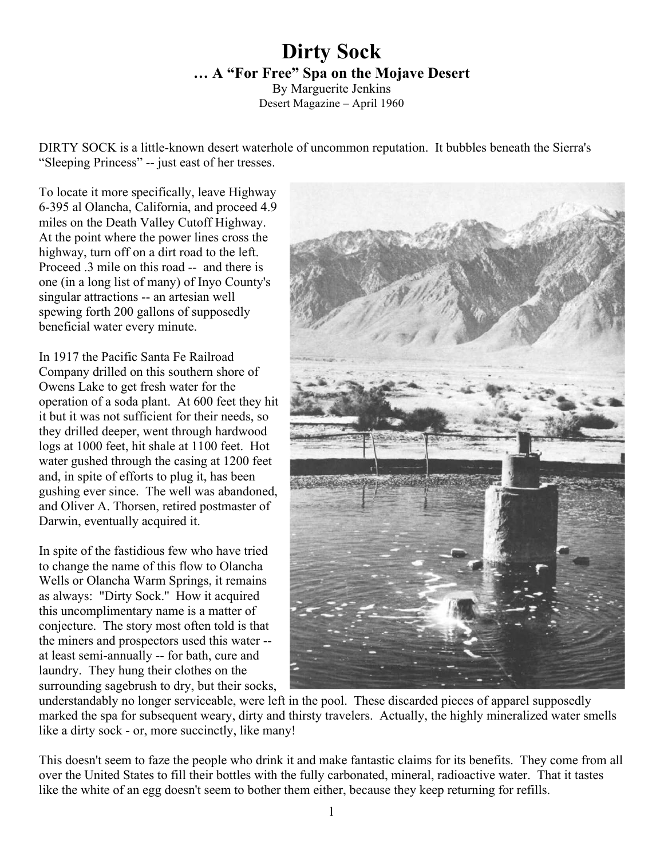## **Dirty Sock … A "For Free" Spa on the Mojave Desert**

By Marguerite Jenkins Desert Magazine – April 1960

DIRTY SOCK is a little-known desert waterhole of uncommon reputation. It bubbles beneath the Sierra's "Sleeping Princess" -- just east of her tresses.

To locate it more specifically, leave Highway 6-395 al Olancha, California, and proceed 4.9 miles on the Death Valley Cutoff Highway. At the point where the power lines cross the highway, turn off on a dirt road to the left. Proceed .3 mile on this road -- and there is one (in a long list of many) of Inyo County's singular attractions -- an artesian well spewing forth 200 gallons of supposedly beneficial water every minute.

In 1917 the Pacific Santa Fe Railroad Company drilled on this southern shore of Owens Lake to get fresh water for the operation of a soda plant. At 600 feet they hit it but it was not sufficient for their needs, so they drilled deeper, went through hardwood logs at 1000 feet, hit shale at 1100 feet. Hot water gushed through the casing at 1200 feet and, in spite of efforts to plug it, has been gushing ever since. The well was abandoned, and Oliver A. Thorsen, retired postmaster of Darwin, eventually acquired it.

In spite of the fastidious few who have tried to change the name of this flow to Olancha Wells or Olancha Warm Springs, it remains as always: "Dirty Sock.'' How it acquired this uncomplimentary name is a matter of conjecture. The story most often told is that the miners and prospectors used this water - at least semi-annually -- for bath, cure and laundry. They hung their clothes on the surrounding sagebrush to dry, but their socks,



understandably no longer serviceable, were left in the pool. These discarded pieces of apparel supposedly marked the spa for subsequent weary, dirty and thirsty travelers. Actually, the highly mineralized water smells like a dirty sock - or, more succinctly, like many!

This doesn't seem to faze the people who drink it and make fantastic claims for its benefits. They come from all over the United States to fill their bottles with the fully carbonated, mineral, radioactive water. That it tastes like the white of an egg doesn't seem to bother them either, because they keep returning for refills.